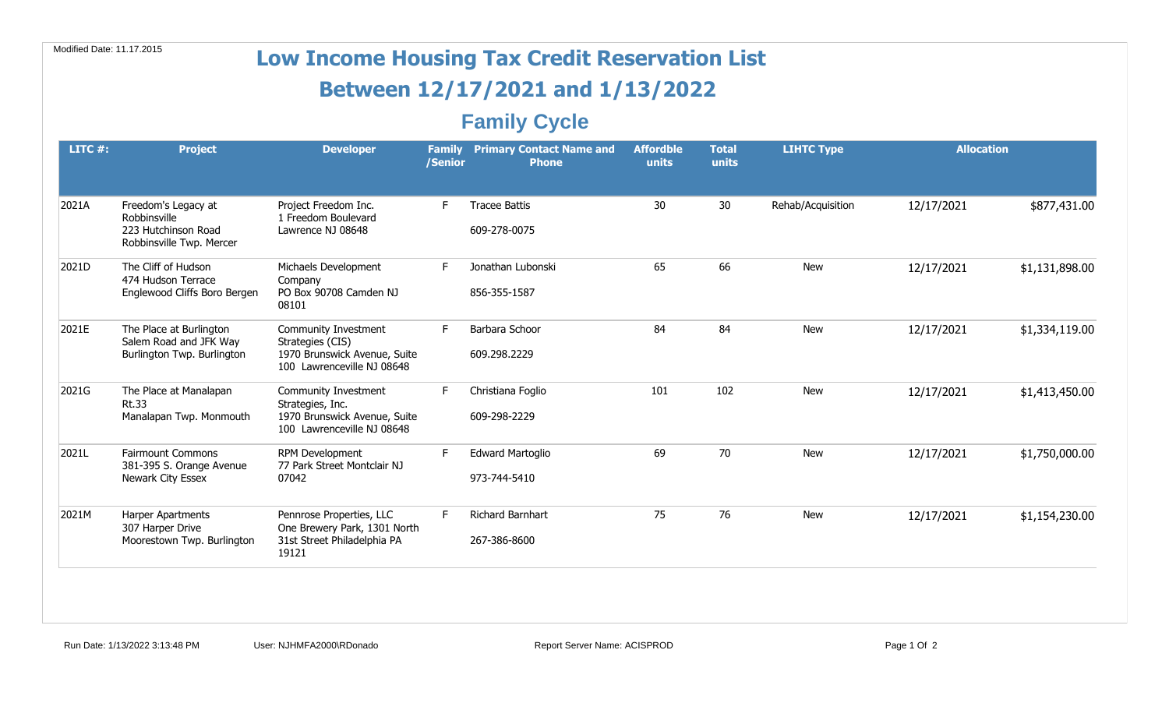| Modified Date: 11.17.2015 |                                                                                        |                                                                                                        |                          | <b>Low Income Housing Tax Credit Reservation List</b> |                           |                       |                   |                   |                |
|---------------------------|----------------------------------------------------------------------------------------|--------------------------------------------------------------------------------------------------------|--------------------------|-------------------------------------------------------|---------------------------|-----------------------|-------------------|-------------------|----------------|
|                           |                                                                                        |                                                                                                        |                          | Between 12/17/2021 and 1/13/2022                      |                           |                       |                   |                   |                |
|                           |                                                                                        |                                                                                                        |                          | <b>Family Cycle</b>                                   |                           |                       |                   |                   |                |
| LITC $#$ :                | <b>Project</b>                                                                         | <b>Developer</b>                                                                                       | <b>Family</b><br>/Senior | <b>Primary Contact Name and</b><br><b>Phone</b>       | <b>Affordble</b><br>units | <b>Total</b><br>units | <b>LIHTC Type</b> | <b>Allocation</b> |                |
| 2021A                     | Freedom's Legacy at<br>Robbinsville<br>223 Hutchinson Road<br>Robbinsville Twp. Mercer | Project Freedom Inc.<br>1 Freedom Boulevard<br>Lawrence NJ 08648                                       | F.                       | <b>Tracee Battis</b><br>609-278-0075                  | 30                        | 30                    | Rehab/Acquisition | 12/17/2021        | \$877,431.00   |
| 2021D                     | The Cliff of Hudson<br>474 Hudson Terrace<br>Englewood Cliffs Boro Bergen              | Michaels Development<br>Company<br>PO Box 90708 Camden NJ<br>08101                                     | F.                       | Jonathan Lubonski<br>856-355-1587                     | 65                        | 66                    | <b>New</b>        | 12/17/2021        | \$1,131,898.00 |
| 2021E                     | The Place at Burlington<br>Salem Road and JFK Way<br>Burlington Twp. Burlington        | Community Investment<br>Strategies (CIS)<br>1970 Brunswick Avenue, Suite<br>100 Lawrenceville NJ 08648 | F.                       | Barbara Schoor<br>609.298.2229                        | 84                        | 84                    | <b>New</b>        | 12/17/2021        | \$1,334,119.00 |
| 2021G                     | The Place at Manalapan<br><b>Rt.33</b><br>Manalapan Twp. Monmouth                      | Community Investment<br>Strategies, Inc.<br>1970 Brunswick Avenue, Suite<br>100 Lawrenceville NJ 08648 | F.                       | Christiana Foglio<br>609-298-2229                     | 101                       | 102                   | <b>New</b>        | 12/17/2021        | \$1,413,450.00 |
| 2021L                     | <b>Fairmount Commons</b><br>381-395 S. Orange Avenue<br>Newark City Essex              | RPM Development<br>77 Park Street Montclair NJ<br>07042                                                | F.                       | <b>Edward Martoglio</b><br>973-744-5410               | 69                        | 70                    | <b>New</b>        | 12/17/2021        | \$1,750,000.00 |
| 2021M                     | Harper Apartments<br>307 Harper Drive<br>Moorestown Twp. Burlington                    | Pennrose Properties, LLC<br>One Brewery Park, 1301 North<br>31st Street Philadelphia PA<br>19121       | F.                       | <b>Richard Barnhart</b><br>267-386-8600               | 75                        | 76                    | <b>New</b>        | 12/17/2021        | \$1,154,230.00 |
|                           |                                                                                        |                                                                                                        |                          |                                                       |                           |                       |                   |                   |                |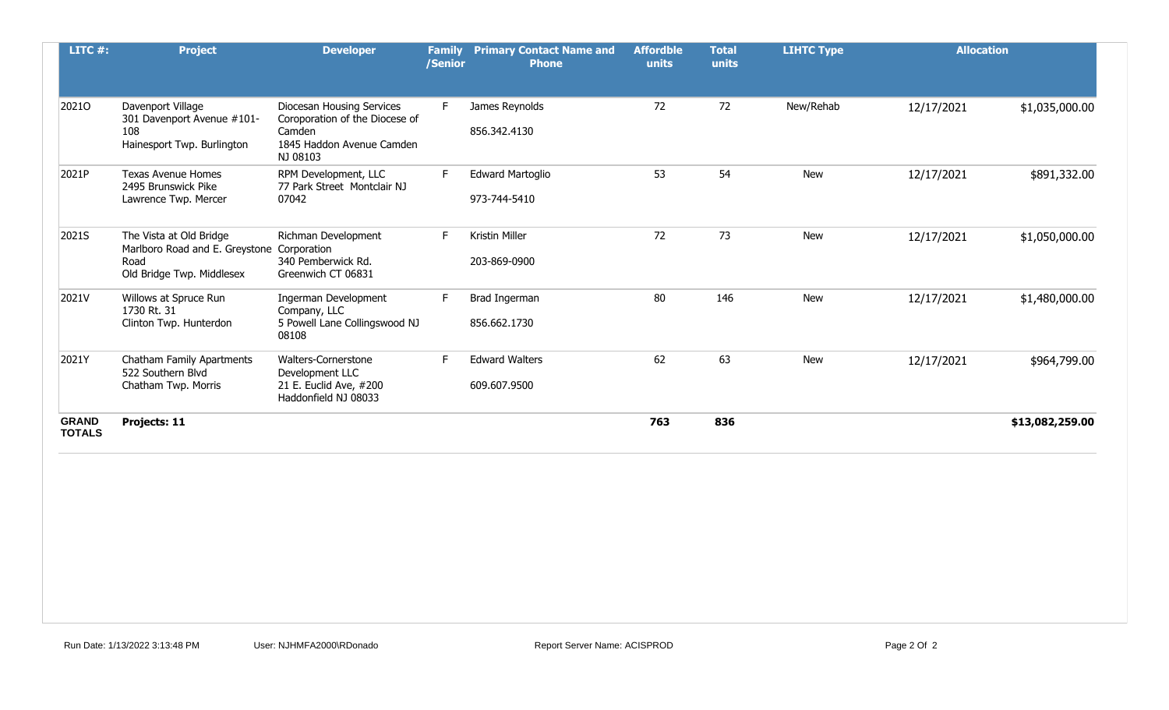| LITC $#$ :                    | <b>Project</b>                                                                                 | <b>Developer</b>                                                                                               | <b>Family</b><br>/Senior | <b>Primary Contact Name and</b><br><b>Phone</b> | <b>Affordble</b><br>units | <b>Total</b><br>units | <b>LIHTC Type</b> | <b>Allocation</b> |                 |
|-------------------------------|------------------------------------------------------------------------------------------------|----------------------------------------------------------------------------------------------------------------|--------------------------|-------------------------------------------------|---------------------------|-----------------------|-------------------|-------------------|-----------------|
| 20210                         | Davenport Village<br>301 Davenport Avenue #101-<br>108<br>Hainesport Twp. Burlington           | Diocesan Housing Services<br>Coroporation of the Diocese of<br>Camden<br>1845 Haddon Avenue Camden<br>NJ 08103 | F.                       | James Reynolds<br>856.342.4130                  | 72                        | 72                    | New/Rehab         | 12/17/2021        | \$1,035,000.00  |
| 2021P                         | <b>Texas Avenue Homes</b><br>2495 Brunswick Pike<br>Lawrence Twp. Mercer                       | RPM Development, LLC<br>77 Park Street Montclair NJ<br>07042                                                   |                          | <b>Edward Martoglio</b><br>973-744-5410         | 53                        | 54                    | New               | 12/17/2021        | \$891,332.00    |
| 2021S                         | The Vista at Old Bridge<br>Marlboro Road and E. Greystone<br>Road<br>Old Bridge Twp. Middlesex | Richman Development<br>Corporation<br>340 Pemberwick Rd.<br>Greenwich CT 06831                                 |                          | Kristin Miller<br>203-869-0900                  | 72                        | 73                    | <b>New</b>        | 12/17/2021        | \$1,050,000.00  |
| 2021V                         | Willows at Spruce Run<br>1730 Rt. 31<br>Clinton Twp. Hunterdon                                 | Ingerman Development<br>Company, LLC<br>5 Powell Lane Collingswood NJ<br>08108                                 |                          | Brad Ingerman<br>856.662.1730                   | 80                        | 146                   | <b>New</b>        | 12/17/2021        | \$1,480,000.00  |
| 2021Y                         | Chatham Family Apartments<br>522 Southern Blvd<br>Chatham Twp. Morris                          | Walters-Cornerstone<br>Development LLC<br>21 E. Euclid Ave, #200<br>Haddonfield NJ 08033                       |                          | <b>Edward Walters</b><br>609.607.9500           | 62                        | 63                    | <b>New</b>        | 12/17/2021        | \$964,799.00    |
| <b>GRAND</b><br><b>TOTALS</b> | Projects: 11                                                                                   |                                                                                                                |                          |                                                 | 763                       | 836                   |                   |                   | \$13,082,259.00 |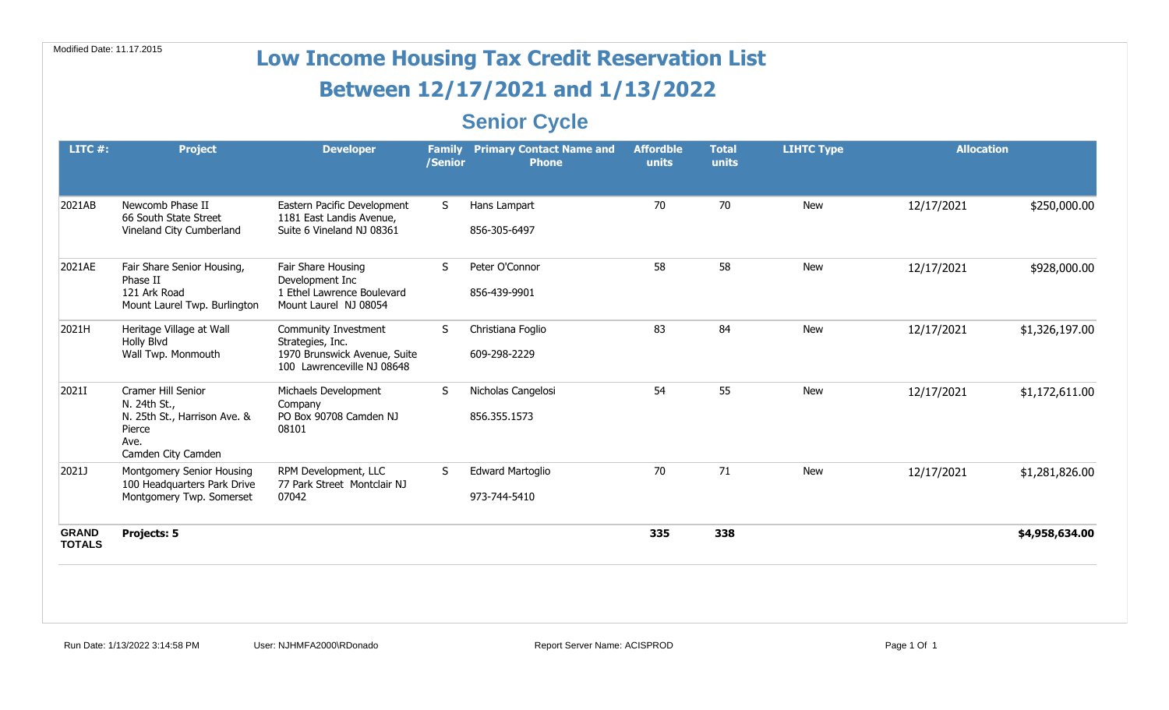| Modified Date: 11.17.2015     |                                                                                                            |                                                                                                        |                          | <b>Low Income Housing Tax Credit Reservation List</b> |                           |                       |                   |                   |                |
|-------------------------------|------------------------------------------------------------------------------------------------------------|--------------------------------------------------------------------------------------------------------|--------------------------|-------------------------------------------------------|---------------------------|-----------------------|-------------------|-------------------|----------------|
|                               |                                                                                                            |                                                                                                        |                          | Between 12/17/2021 and 1/13/2022                      |                           |                       |                   |                   |                |
|                               |                                                                                                            |                                                                                                        |                          | <b>Senior Cycle</b>                                   |                           |                       |                   |                   |                |
| LITC $#$ :                    | <b>Project</b>                                                                                             | <b>Developer</b>                                                                                       | <b>Family</b><br>/Senior | <b>Primary Contact Name and</b><br><b>Phone</b>       | <b>Affordble</b><br>units | <b>Total</b><br>units | <b>LIHTC Type</b> | <b>Allocation</b> |                |
| 2021AB                        | Newcomb Phase II<br>66 South State Street<br>Vineland City Cumberland                                      | Eastern Pacific Development<br>1181 East Landis Avenue,<br>Suite 6 Vineland NJ 08361                   | S.                       | Hans Lampart<br>856-305-6497                          | 70                        | 70                    | <b>New</b>        | 12/17/2021        | \$250,000.00   |
| 2021AE                        | Fair Share Senior Housing,<br>Phase II<br>121 Ark Road<br>Mount Laurel Twp. Burlington                     | Fair Share Housing<br>Development Inc<br>1 Ethel Lawrence Boulevard<br>Mount Laurel NJ 08054           | S                        | Peter O'Connor<br>856-439-9901                        | 58                        | 58                    | <b>New</b>        | 12/17/2021        | \$928,000.00   |
| 2021H                         | Heritage Village at Wall<br>Holly Blvd<br>Wall Twp. Monmouth                                               | Community Investment<br>Strategies, Inc.<br>1970 Brunswick Avenue, Suite<br>100 Lawrenceville NJ 08648 | S                        | Christiana Foglio<br>609-298-2229                     | 83                        | 84                    | <b>New</b>        | 12/17/2021        | \$1,326,197.00 |
| 2021I                         | Cramer Hill Senior<br>N. 24th St.,<br>N. 25th St., Harrison Ave. &<br>Pierce<br>Ave.<br>Camden City Camden | Michaels Development<br>Company<br>PO Box 90708 Camden NJ<br>08101                                     | S                        | Nicholas Cangelosi<br>856.355.1573                    | 54                        | 55                    | <b>New</b>        | 12/17/2021        | \$1,172,611.00 |
| 2021J                         | Montgomery Senior Housing<br>100 Headquarters Park Drive<br>Montgomery Twp. Somerset                       | RPM Development, LLC<br>77 Park Street Montclair NJ<br>07042                                           | S                        | <b>Edward Martoglio</b><br>973-744-5410               | 70                        | 71                    | <b>New</b>        | 12/17/2021        | \$1,281,826.00 |
| <b>GRAND</b><br><b>TOTALS</b> | Projects: 5                                                                                                |                                                                                                        |                          |                                                       | 335                       | 338                   |                   |                   | \$4,958,634.00 |
|                               |                                                                                                            |                                                                                                        |                          |                                                       |                           |                       |                   |                   |                |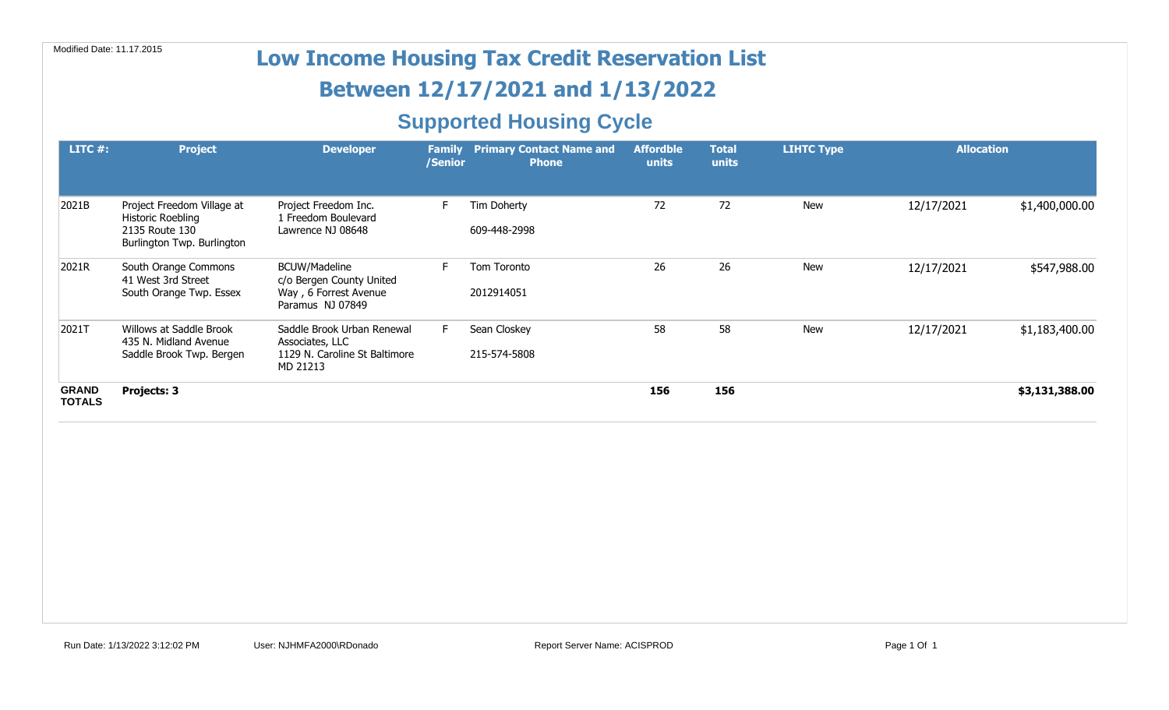# Modified Date: 11.17.2015 **Low Income Housing Tax Credit Reservation List**

## **Between 12/17/2021 and 1/13/2022**

## **Supported Housing Cycle**

| LITC $#$ :                    | <b>Project</b>                                                                                         | <b>Developer</b>                                                                              | <b>Family</b><br>/Senior | <b>Primary Contact Name and</b><br><b>Phone</b> | <b>Affordble</b><br>units | <b>Total</b><br>units | <b>LIHTC Type</b> | <b>Allocation</b> |                |
|-------------------------------|--------------------------------------------------------------------------------------------------------|-----------------------------------------------------------------------------------------------|--------------------------|-------------------------------------------------|---------------------------|-----------------------|-------------------|-------------------|----------------|
| 2021B                         | Project Freedom Village at<br><b>Historic Roebling</b><br>2135 Route 130<br>Burlington Twp. Burlington | Project Freedom Inc.<br>1 Freedom Boulevard<br>Lawrence NJ 08648                              |                          | Tim Doherty<br>609-448-2998                     | 72                        | 72                    | New               | 12/17/2021        | \$1,400,000.00 |
| 2021R                         | South Orange Commons<br>41 West 3rd Street<br>South Orange Twp. Essex                                  | <b>BCUW/Madeline</b><br>c/o Bergen County United<br>Way, 6 Forrest Avenue<br>Paramus NJ 07849 |                          | Tom Toronto<br>2012914051                       | 26                        | 26                    | New               | 12/17/2021        | \$547,988.00   |
| 2021T                         | Willows at Saddle Brook<br>435 N. Midland Avenue<br>Saddle Brook Twp. Bergen                           | Saddle Brook Urban Renewal<br>Associates, LLC<br>1129 N. Caroline St Baltimore<br>MD 21213    |                          | Sean Closkey<br>215-574-5808                    | 58                        | 58                    | New               | 12/17/2021        | \$1,183,400.00 |
| <b>GRAND</b><br><b>TOTALS</b> | Projects: 3                                                                                            |                                                                                               |                          |                                                 | 156                       | 156                   |                   |                   | \$3,131,388.00 |